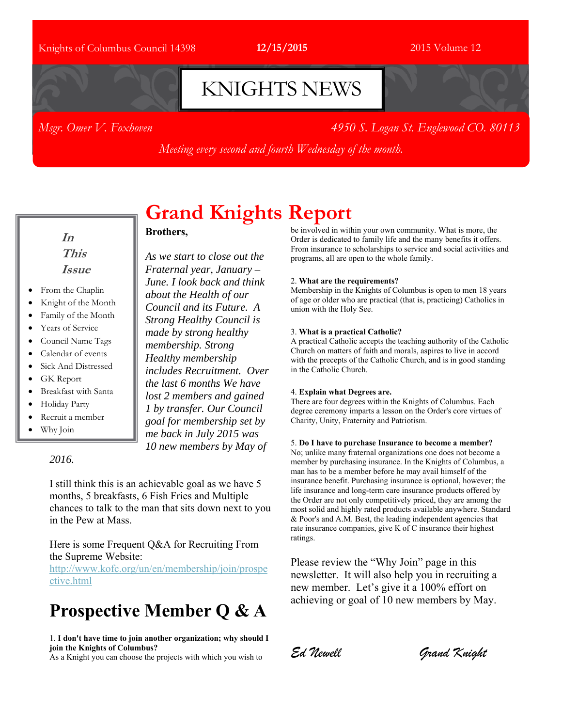### Knights of Columbus Council 14398 **12/15/2015** 2015 Volume 12

# KNIGHTS NEWS

*Msgr. Omer V. Foxhoven 4950 S. Logan St. Englewood CO. 80113* 

*Meeting every second and fourth Wednesday of the month.*

**In This Issue** 

- From the Chaplin
- Knight of the Month
- Family of the Month
- Years of Service
- Council Name Tags
- Calendar of events
- Sick And Distressed
- GK Report
- Breakfast with Santa
- Holiday Party
- Recruit a member
- Why Join

#### *2016.*

in the Pew at Mass.

the Supreme Website:

ctive.html

**Grand Knights Report Brothers,**

*As we start to close out the Fraternal year, January – June. I look back and think about the Health of our Council and its Future. A Strong Healthy Council is made by strong healthy membership. Strong Healthy membership includes Recruitment. Over the last 6 months We have lost 2 members and gained 1 by transfer. Our Council goal for membership set by me back in July 2015 was 10 new members by May of* 

be involved in within your own community. What is more, the Order is dedicated to family life and the many benefits it offers. From insurance to scholarships to service and social activities and programs, all are open to the whole family.

#### 2. **What are the requirements?**

Membership in the Knights of Columbus is open to men 18 years of age or older who are practical (that is, practicing) Catholics in union with the Holy See.

#### 3. **What is a practical Catholic?**

A practical Catholic accepts the teaching authority of the Catholic Church on matters of faith and morals, aspires to live in accord with the precepts of the Catholic Church, and is in good standing in the Catholic Church.

#### 4. **Explain what Degrees are.**

There are four degrees within the Knights of Columbus. Each degree ceremony imparts a lesson on the Order's core virtues of Charity, Unity, Fraternity and Patriotism.

#### 5. **Do I have to purchase Insurance to become a member?**

No; unlike many fraternal organizations one does not become a member by purchasing insurance. In the Knights of Columbus, a man has to be a member before he may avail himself of the insurance benefit. Purchasing insurance is optional, however; the life insurance and long-term care insurance products offered by the Order are not only competitively priced, they are among the most solid and highly rated products available anywhere. Standard & Poor's and A.M. Best, the leading independent agencies that rate insurance companies, give K of C insurance their highest ratings.

Please review the "Why Join" page in this newsletter. It will also help you in recruiting a new member. Let's give it a 100% effort on achieving or goal of 10 new members by May.

## **Prospective Member Q & A**

I still think this is an achievable goal as we have 5 months, 5 breakfasts, 6 Fish Fries and Multiple chances to talk to the man that sits down next to you

Here is some Frequent Q&A for Recruiting From

http://www.kofc.org/un/en/membership/join/prospe

1. **I don't have time to join another organization; why should I join the Knights of Columbus?**

As a Knight you can choose the projects with which you wish to

*Ed Newell Grand Knight*